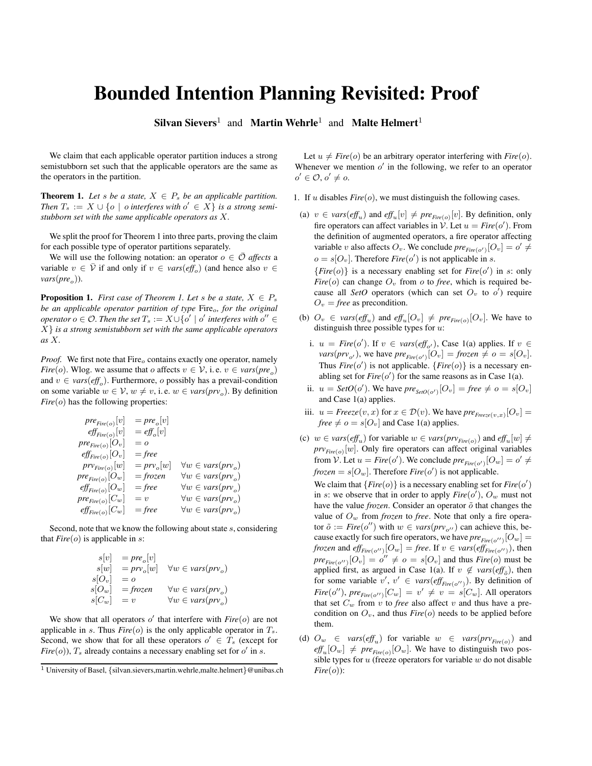## Bounded Intention Planning Revisited: Proof

Silvan Sievers<sup>1</sup> and Martin Wehrle<sup>1</sup> and Malte Helmert<sup>1</sup>

We claim that each applicable operator partition induces a strong semistubborn set such that the applicable operators are the same as the operators in the partition.

**Theorem 1.** Let *s* be a state,  $X \in P_s$  be an applicable partition. *Then*  $T_s := X \cup \{ o \mid o \text{ }$  *interferes with*  $o' \in X \}$  *is a strong semistubborn set with the same applicable operators as* X*.*

We split the proof for Theorem 1 into three parts, proving the claim for each possible type of operator partitions separately.

We will use the following notation: an operator  $o \in \overline{\mathcal{O}}$  *affects* a variable  $v \in \overline{V}$  if and only if  $v \in vars(\text{eff}_o)$  (and hence also  $v \in$  $vars(pre<sub>o</sub>)$ ).

**Proposition 1.** *First case of Theorem 1. Let* s *be a state,*  $X \in P_s$ *be an applicable operator partition of type* Fire<sub>o</sub>, for the original  $\mathit{operator}$   $o \in \mathcal{O}$ . Then the set  $T_s := X \cup \{o' \mid o'$  interferes with  $o'' \in \mathcal{O}$ X} *is a strong semistubborn set with the same applicable operators as* X*.*

*Proof.* We first note that  $\text{Fire}_o$  contains exactly one operator, namely *Fire*(*o*). Wlog. we assume that *o* affects  $v \in V$ , i.e.  $v \in vars(pre_o)$ and  $v \in vars(eff_o)$ . Furthermore, *o* possibly has a prevail-condition on some variable  $w \in V$ ,  $w \neq v$ , i. e.  $w \in vars(prv_o)$ . By definition *Fire*(*o*) has the following properties:

$$
pre_{Fire(o)}[v] = pre_o[v]
$$
  
\n
$$
eff_{Fire(o)}[v] = eff_o[v]
$$
  
\n
$$
pre_{Fire(o)}[O_v] = o
$$
  
\n
$$
eff_{Fire(o)}[O_v] = free
$$
  
\n
$$
pr_{Fire(o)}[w] = prv_o[w] \quad \forall w \in vars(prv_o)
$$
  
\n
$$
pre_{Fire(o)}[O_w] = frozen \quad \forall w \in vars(prv_o)
$$
  
\n
$$
eff_{Fire(o)}[C_w] = free \quad \forall w \in vars(prv_o)
$$
  
\n
$$
pref_{Fire(o)}[C_w] = v \quad \forall w \in vars(prv_o)
$$
  
\n
$$
eff_{Fire(o)}[C_w] = free \quad \forall w \in vars(prv_o)
$$

Second, note that we know the following about state s, considering that  $Fire(o)$  is applicable in s:

$$
s[v] = pre_o[v]
$$
  
\n
$$
s[w] = prv_o[w]
$$
  $\forall w \in vars(prv_o)$   
\n
$$
s[O_w] = o
$$
  
\n
$$
s[C_w] = frozen
$$
  $\forall w \in vars(prv_o)$   
\n
$$
s[C_w] = v
$$
  $\forall w \in vars(prv_o)$ 

We show that all operators  $o'$  that interfere with  $Fire(o)$  are not applicable in s. Thus  $Fire(o)$  is the only applicable operator in  $T_s$ . Second, we show that for all these operators  $o' \in T_s$  (except for  $Fire(o)$ ),  $T_s$  already contains a necessary enabling set for  $o'$  in  $s$ .

Let  $u \neq$  *Fire*(*o*) be an arbitrary operator interfering with *Fire*(*o*). Whenever we mention  $o'$  in the following, we refer to an operator  $o' \in \mathcal{O}, o' \neq o.$ 

- 1. If u disables  $Fire(o)$ , we must distinguish the following cases.
	- (a)  $v \in vars(eff_u)$  and  $eff_u[v] \neq pre_{Fire(o)}[v]$ . By definition, only fire operators can affect variables in  $\mathcal{V}$ . Let  $u = Fire(o')$ . From the definition of augmented operators, a fire operator affecting variable v also affects  $O_v$ . We conclude  $pre_{Fire(o')}[O_v] = o' \neq o'$  $o = s[O_v]$ . Therefore *Fire*(*o'*) is not applicable in *s*.  ${Fire(0)}$  is a necessary enabling set for *Fire*( $o'$ ) in *s*: only *Fire*( $o$ ) can change  $O_v$  from  $o$  to *free*, which is required because all *SetO* operators (which can set  $O_v$  to  $o'$ ) require  $O_v$  = *free* as precondition.
	- (b)  $O_v \in vars(eff_u)$  and  $eff_u[O_v] \neq pre_{Fire(o)}[O_v]$ . We have to distinguish three possible types for  $u$ :
	- i.  $u = \text{Fire}(o')$ . If  $v \in \text{vars}(\text{eff}_{o'})$ , Case 1(a) applies. If  $v \in$  $vars(prv_{o'})$ , we have  $pre_{Fire(o')}[O_v] = frozen \neq o = s[O_v]$ . Thus  $Fire(o')$  is not applicable. {*Fire*( $o$ )} is a necessary enabling set for  $Fire(o')$  for the same reasons as in Case 1(a).
	- ii.  $u = \text{SetO}(o')$ . We have  $\text{pre}_{\text{SetO}(o')}[O_v] = \text{free} \neq o = s[O_v]$ and Case 1(a) applies.
	- iii.  $u = \text{Freeze}(v, x)$  for  $x \in \mathcal{D}(v)$ . We have  $\text{pre}_{\text{Freeze}(v, x)}[O_v] =$ *free*  $\neq$  *o* = *s*[ $O_v$ ] and Case 1(a) applies.
	- (c)  $w \in vars(eff_u)$  for variable  $w \in vars(prv_{Fire(o)})$  and  $eff_u[w] \neq$  $prv_{Fire(o)}[w]$ . Only fire operators can affect original variables from  $\mathcal{V}$ . Let  $u = \text{Fire}(o')$ . We conclude  $\text{pre}_{\text{Fire}(o')}[O_w] = o' \neq o'$ *frozen* =  $s[O_w]$ . Therefore *Fire*( $o'$ ) is not applicable.

We claim that  ${Fire(0)}$  is a necessary enabling set for  $Fire(0')$ in s: we observe that in order to apply  $Fire( o'), O_w$  must not have the value  $frozen$ . Consider an operator  $\tilde{o}$  that changes the value of O<sup>w</sup> from *frozen* to *free*. Note that only a fire operator  $\tilde{o}$  := *Fire*( $o''$ ) with  $w \in vars(prv_{o''})$  can achieve this, because exactly for such fire operators, we have  $pre_{Fire(o'')}[O_w] =$ *frozen* and  $\textit{eff}_{\textit{Fire}(o'')}[O_w] = \textit{free}$ . If  $v \in \textit{vars}(\textit{eff}_{\textit{Fire}(o'')})$ , then  $pre_{Fire(o'')}[O_v] = o'' \neq o = s[O_v]$  and thus *Fire*(*o*) must be applied first, as argued in Case 1(a). If  $v \notin vars(eff_{\tilde{o}})$ , then for some variable  $v'$ ,  $v' \in vars(eff_{Fire(0'')})$ . By definition of  $Fire(o''), pre_{Fire(o'')}[C_w] = v' \neq v = s[C_w]$ . All operators that set  $C_w$  from v to *free* also affect v and thus have a precondition on  $O_v$ , and thus  $Fire(o)$  needs to be applied before them.

(d)  $O_w \in vars(eff_u)$  for variable  $w \in vars(prv_{Fire(o)})$  and  $\text{eff}_{u}[O_{w}] \neq \text{pre}_{\text{Fire}(o)}[O_{w}]$ . We have to distinguish two possible types for  $u$  (freeze operators for variable  $w$  do not disable *Fire*(*o*)):

<sup>&</sup>lt;sup>1</sup> University of Basel, {silvan.sievers,martin.wehrle,malte.helmert}@unibas.ch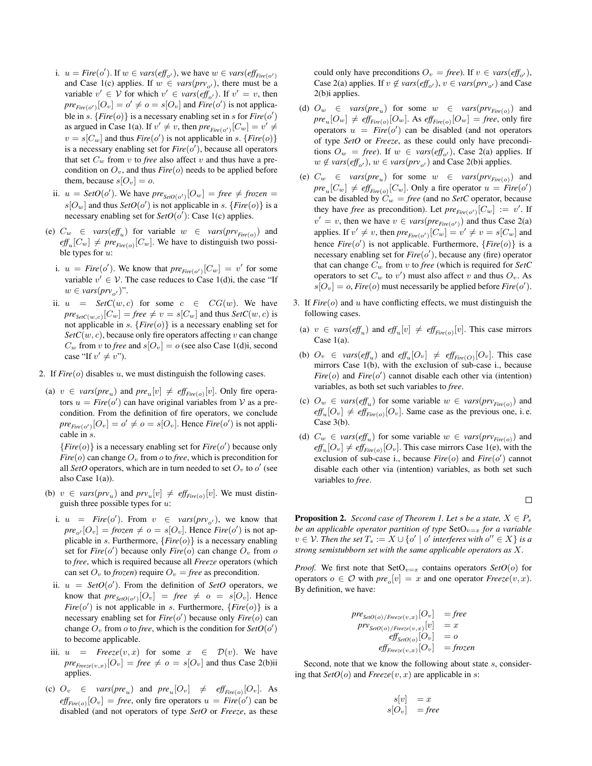- i.  $u = Fire(o')$ . If  $w \in vars(eff_{o'})$ , we have  $w \in vars(eff_{Fire(o')})$ and Case 1(c) applies. If  $w \in vars(prv_{o'})$ , there must be a variable  $v' \in V$  for which  $v' \in vars(\text{eff}_{o'})$ . If  $v' = v$ , then  $pre_{Fire(o')}[O_v] = o' \neq o = s[O_v]$  and *Fire*(o') is not applicable in s.  ${Fire(0)}$  is a necessary enabling set in s for  $Fire(0')$ as argued in Case 1(a). If  $v' \neq v$ , then  $pre_{Fire(o')}[C_w] = v' \neq$  $v = s[C_w]$  and thus *Fire*(o') is not applicable in s. {*Fire*(o)} is a necessary enabling set for  $Fire(o')$ , because all operators that set  $C_w$  from v to *free* also affect v and thus have a precondition on  $O_v$ , and thus *Fire*( $o$ ) needs to be applied before them, because  $s[O_v] = o$ .
- ii.  $u = \text{SetO}(o')$ . We have  $\text{pre}_{\text{SetO}(o')}[O_w] = \text{free} \neq \text{frozen} =$  $s[O_w]$  and thus  $SetO(o')$  is not applicable in s. {*Fire*(o)} is a necessary enabling set for  $SetO(o')$ : Case 1(c) applies.
- (e)  $C_w \in vars(eff_u)$  for variable  $w \in vars(prv_{Fire(o)})$  and  $\textit{eff}_{u}[C_{w}] \neq \textit{pre}_{\textit{Fire}(o)}[C_{w}]$ . We have to distinguish two possible types for  $u$ :
	- i.  $u = \text{Fire}(o')$ . We know that  $\text{pre}_{\text{Fire}(o')}[C_w] = v'$  for some variable  $v' \in V$ . The case reduces to Case 1(d)i, the case "If  $w \in vars(prv_{o'})$ ".
- ii.  $u = \text{SetC}(w, c)$  for some  $c \in \text{CG}(w)$ . We have  $\mathit{pre}_{\mathit{SetC}(w,c)}[C_w] = \mathit{free} \neq v = s[C_w]$  and thus  $\mathit{SetC}(w,c)$  is not applicable in s. {*Fire*(o)} is a necessary enabling set for  $SetC(w, c)$ , because only fire operators affecting v can change  $C_w$  from v to *free* and  $s[O_v] = o$  (see also Case 1(d)*i*, second case "If  $v' \neq v$ ").
- 2. If  $Fire(o)$  disables u, we must distinguish the following cases.
- (a)  $v \in vars(pre_u)$  and  $pre_u[v] \neq eff_{Fire(o)}[v]$ . Only fire operators  $u = Fire(o')$  can have original variables from  $V$  as a precondition. From the definition of fire operators, we conclude  $pre_{Fire(o')}[O_v] = o' \neq o = s[O_v]$ . Hence *Fire*(o') is not applicable in s.

 ${Fire(0)}$  is a necessary enabling set for *Fire*( $o'$ ) because only  $Fire(o)$  can change  $O_v$  from  $o$  to *free*, which is precondition for all *SetO* operators, which are in turn needed to set  $O_v$  to  $o'$  (see also Case 1(a)).

- (b)  $v \in vars(prv_u)$  and  $prv_u[v] \neq eff_{Fire(o)}[v]$ . We must distinguish three possible types for  $u$ :
	- i.  $u = \text{Fire}(o')$ . From  $v \in \text{vars}(prv_{o'})$ , we know that  $pre_{o'}[O_v] = \text{frozen} \neq o = s[O_v]$ . Hence *Fire*(o') is not applicable in s. Furthermore,  ${Fire(0)}$  is a necessary enabling set for  $Fire(o')$  because only  $Fire(o)$  can change  $O_v$  from  $o$ to *free*, which is required because all *Freeze* operators (which can set  $O_v$  to *frozen*) require  $O_v$  = *free* as precondition.
	- ii.  $u = \text{SetO}(o')$ . From the definition of *SetO* operators, we know that  $pre_{SetO(o')}[O_v] = free \neq o = s[O_v]$ . Hence *Fire*( $o'$ ) is not applicable in s. Furthermore, {*Fire*( $o$ )} is a necessary enabling set for  $Fire(o')$  because only  $Fire(o)$  can change  $O_v$  from  $o$  to *free*, which is the condition for  $SetO(o')$ to become applicable.
- iii.  $u = \text{Freeze}(v, x)$  for some  $x \in \mathcal{D}(v)$ . We have  $pre_{Free_{ze}(v,x)}[O_v] = free \neq o = s[O_v]$  and thus Case 2(b)ii applies.
- (c)  $O_v \in vars(pre_u)$  and  $pre_u[O_v] \neq eff_{Fire(o)}[O_v]$ . As  $\textit{eff}_{\textit{Fire}(o)}[O_v] = \textit{free}$ , only fire operators  $u = \textit{Fire}(o')$  can be disabled (and not operators of type *SetO* or *Freeze*, as these

could only have preconditions  $O_v = \text{free}$ ). If  $v \in \text{vars}(\text{eff}_{o}),$ Case 2(a) applies. If  $v \notin vars(eff_{o'})$ ,  $v \in vars(prv_{o'})$  and Case 2(b)i applies.

- (d)  $O_w \in vars(pre_u)$  for some  $w \in vars(prv_{Fire(o)})$  and  $\textit{pre}_u[O_w] \neq \textit{eff}_{\textit{Fire}(o)}[O_w].$  As  $\textit{eff}_{\textit{Fire}(o)}[O_w] = \textit{free},$  only fire operators  $u = Fire(o')$  can be disabled (and not operators of type *SetO* or *Freeze*, as these could only have preconditions  $O_w = \text{free}$ ). If  $w \in \text{vars}(\text{eff}_{o'})$ , Case 2(a) applies. If *w* ∉ *vars*(*eff<sub>o'</sub>*), *w* ∈ *vars*( $prv_{o'}$ ) and Case 2(b)i applies.
- (e)  $C_w \in vars(pre_u)$  for some  $w \in vars(prv_{Fire(o)})$  and  $pre_u[C_w] \neq \text{eff}_{Fire(o)}[C_w]$ . Only a fire operator  $u = \text{Fire}(o')$ can be disabled by  $C_w$  = *free* (and no *SetC* operator, because they have *free* as precondition). Let  $pre_{Fire(o')}[C_w] := v'$ . If  $v' = v$ , then we have  $v \in vars(pre_{Fire(o')})$  and thus Case 2(a) applies. If  $v' \neq v$ , then  $pre_{Fire(o')}[C_w] = v' \neq v = s[C_w]$  and hence  $Fire(o')$  is not applicable. Furthermore,  ${Fire(o)}$  is a necessary enabling set for  $Fire(o')$ , because any (fire) operator that can change  $C_w$  from v to *free* (which is required for *SetC* operators to set  $C_w$  to  $v'$ ) must also affect v and thus  $O_v$ . As  $s[O_v] = o$ , *Fire*(*o*) must necessarily be applied before *Fire*(*o'*).
- 3. If *Fire*(o) and u have conflicting effects, we must distinguish the following cases.
- (a)  $v \in vars(eff_u)$  and  $eff_u[v] \neq eff_{Fire(0)}[v]$ . This case mirrors Case 1(a).
- (b)  $O_v \in vars(eff_u)$  and  $eff_u[O_v] \neq eff_{Fire(O)}[O_v]$ . This case mirrors Case 1(b), with the exclusion of sub-case i., because  $Fire(o)$  and  $Fire(o')$  cannot disable each other via (intention) variables, as both set such variables to *free*.
- (c)  $O_w \in vars(eff_u)$  for some variable  $w \in vars(prv_{Fire(o)})$  and  $\text{eff}_{u}[O_{v}] \neq \text{eff}_{\text{Fire}(o)}[O_{v}]$ . Same case as the previous one, i.e. Case 3(b).
- (d)  $C_w \in vars(eff_u)$  for some variable  $w \in vars(pr_{Fire(o)})$  and  $\text{eff}_{u}[O_{v}] \neq \text{eff}_{\text{Fire}(o)}[O_{v}]$ . This case mirrors Case 1(e), with the exclusion of sub-case i., because  $Fire(o)$  and  $Fire(o')$  cannot disable each other via (intention) variables, as both set such variables to *free*.
	- $\Box$

**Proposition 2.** *Second case of Theorem 1. Let s be a state,*  $X \in P_s$ *be an applicable operator partition of type*  $SetO_{v=x}$  *for a variable*  $v \in V$ . Then the set  $T_s := X \cup \{o' \mid o'$  interferes with  $o'' \in X\}$  is a *strong semistubborn set with the same applicable operators as* X*.*

*Proof.* We first note that  $SetO_{v=x}$  contains operators  $SetO(o)$  for operators  $o \in \mathcal{O}$  with  $pre_o[v] = x$  and one operator  $Free_2e(v, x)$ . By definition, we have:

$$
pre_{\text{SetO}(o)/Free_{\text{SetO}(v,x)}[O_v]} = free
$$
  
\n
$$
pr_{\text{SetO}(o)/Free_{\text{SetO}(v,x)}[v]} = x
$$
  
\n
$$
eff_{\text{SetO}(o)}[O_v] = o
$$
  
\n
$$
eff_{Free_{\text{SetO}(v,x)}[O_v]} = free
$$

Second, note that we know the following about state s, considering that  $SetO(o)$  and  $Freeze(v, x)$  are applicable in s:

$$
\begin{array}{rcl}\ns[v]&=x\\s[O_v]&=free\end{array}
$$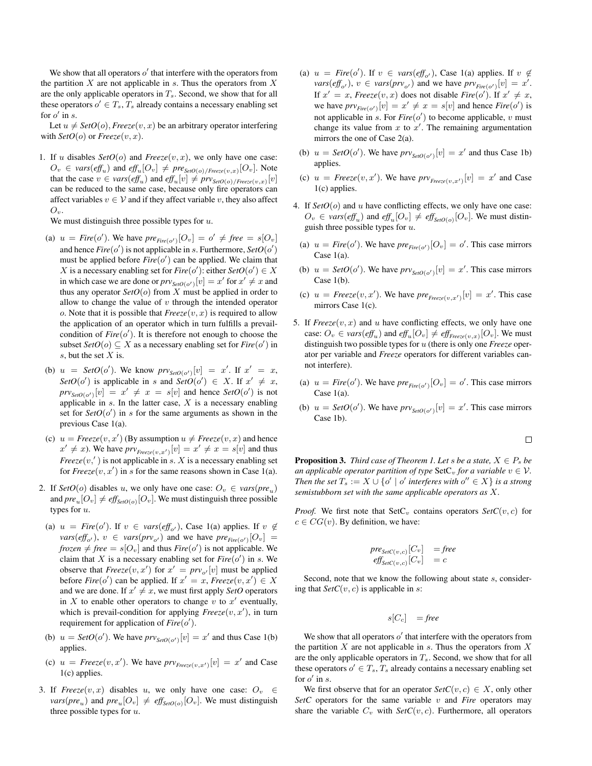We show that all operators  $o'$  that interfere with the operators from the partition  $X$  are not applicable in  $s$ . Thus the operators from  $X$ are the only applicable operators in  $T_s$ . Second, we show that for all these operators  $o' \in T_s$ ,  $T_s$  already contains a necessary enabling set for  $o'$  in s.

Let  $u \neq SetO(o)$ , *Freeze* $(v, x)$  be an arbitrary operator interfering with  $SetO(o)$  or  $Freeze(v, x)$ .

1. If u disables  $SetO(o)$  and  $Freeze(v, x)$ , we only have one case:  $O_v \in vars(eff_u)$  and  $eff_u[O_v] \neq pre_{SetO(o)/Free_ze(v,x)}[O_v]$ . Note that the case  $v \in vars(eff_u)$  and  $eff_u[v] \neq prv_{SetO(o)/Free_{\mathcal{Z}}(v,x)}[v]$ can be reduced to the same case, because only fire operators can affect variables  $v \in V$  and if they affect variable v, they also affect  $O_v$ .

We must distinguish three possible types for  $u$ .

- (a)  $u = \text{Fire}(o')$ . We have  $\text{pre}_{\text{Fire}(o')}[O_v] = o' \neq \text{free} = s[O_v]$ and hence  $Fire(o')$  is not applicable in s. Furthermore,  $SetO(o')$ must be applied before  $Fire(o')$  can be applied. We claim that X is a necessary enabling set for  $Fire(o')$ : either  $SetO(o') \in X$ in which case we are done or  $prv_{SetO(o')}[v] = x'$  for  $x' \neq x$  and thus any operator  $SetO(o)$  from  $X$  must be applied in order to allow to change the value of  $v$  through the intended operator o. Note that it is possible that  $Freeze(v, x)$  is required to allow the application of an operator which in turn fulfills a prevailcondition of  $Fire(o')$ . It is therefore not enough to choose the subset  $SetO(o) \subseteq X$  as a necessary enabling set for  $Fire(o')$  in s, but the set  $X$  is.
- (b)  $u = SetO(o')$ . We know  $prv_{SetO(o')}[v] = x'$ . If  $x' = x$ , SetO(o') is applicable in s and SetO(o')  $\in X$ . If  $x' \neq x$ ,  $prv_{SetO(o')}[v] = x' \neq x = s[v]$  and hence  $SetO(o')$  is not applicable in  $s$ . In the latter case,  $X$  is a necessary enabling set for  $SetO(o')$  in s for the same arguments as shown in the previous Case 1(a).
- (c)  $u = Freeze(v, x')$  (By assumption  $u \neq Freeze(v, x)$  and hence  $x' \neq x$ ). We have  $\text{prv}_{\text{Freeze}(v,x')}[v] = x' \neq x = s[v]$  and thus  $Freeze(v,')$  is not applicable in s. X is a necessary enabling set for  $Freeze(v, x')$  in s for the same reasons shown in Case 1(a).
- 2. If *SetO*(*o*) disables *u*, we only have one case:  $O_v \in vars(pre_u)$ and  $pre_u[O_v] \neq \text{eff}_{SetO(o)}[O_v]$ . We must distinguish three possible types for u.
- (a)  $u = \text{Fire}(o')$ . If  $v \in \text{vars}(\text{eff}_{o'})$ , Case 1(a) applies. If  $v \notin$  $vars(eff_{o'})$ ,  $v \in vars(prv_{o'})$  and we have  $pre_{Fire(o')}[O_v] =$ *frozen*  $\neq$  *free* =  $s[O_v]$  and thus *Fire*(*o'*) is not applicable. We claim that X is a necessary enabling set for  $Fire( o')$  in s. We observe that  $Freeze(v, x')$  for  $x' = prv_{o'}[v]$  must be applied before  $Fire(o')$  can be applied. If  $x' = x$ ,  $Freeze(v, x') \in X$ and we are done. If  $x' \neq x$ , we must first apply *SetO* operators in X to enable other operators to change v to  $x'$  eventually, which is prevail-condition for applying  $Freeze(v, x')$ , in turn requirement for application of  $Fire(o')$ .
- (b)  $u = SetO(o')$ . We have  $prv_{SetO(o')}[v] = x'$  and thus Case 1(b) applies.
- (c)  $u = \text{Freeze}(v, x')$ . We have  $\text{prv}_{\text{Freeze}(v, x')}[v] = x'$  and Case 1(c) applies.
- 3. If  $Freeze(v, x)$  disables u, we only have one case:  $O_v \in$  $\textit{vars}(pre_u)$  and  $\textit{pre}_u[O_v] \neq \textit{eff}_{\textit{SetO}(o)}[O_v]$ . We must distinguish three possible types for  $u$ .
- (a)  $u = \text{Fire}(o')$ . If  $v \in \text{vars}(\text{eff}_{o'})$ , Case 1(a) applies. If  $v \notin$  $vars(eff_{o'})$ ,  $v \in vars(prv_{o'})$  and we have  $prv_{Fire(o')}[v] = x'.$ If  $x' = x$ , *Freeze* $(v, x)$  does not disable *Fire* $(o')$ . If  $x' \neq x$ , we have  $\text{prv}_{\text{Fire}(o')}[v] = x' \neq x = s[v]$  and hence  $\text{Fire}(o')$  is not applicable in s. For  $Fire(o')$  to become applicable,  $v$  must change its value from  $x$  to  $x'$ . The remaining argumentation mirrors the one of Case 2(a).
- (b)  $u = SetO(o')$ . We have  $prv_{SetO(o')}[v] = x'$  and thus Case 1b) applies.
- (c)  $u = \text{Freeze}(v, x')$ . We have  $\text{prv}_{\text{Freeze}(v, x')}[v] = x'$  and Case 1(c) applies.
- 4. If  $SetO(o)$  and u have conflicting effects, we only have one case:  $O_v \in vars(eff_u)$  and  $eff_u[O_v] \neq eff_{SetO(o)}[O_v]$ . We must distinguish three possible types for  $u$ .
	- (a)  $u = \text{Fire}(o')$ . We have  $\text{pre}_{\text{Fire}(o')}[O_v] = o'$ . This case mirrors Case 1(a).
	- (b)  $u = SetO(o')$ . We have  $prv_{SetO(o')}[v] = x'$ . This case mirrors Case  $1(b)$ .
	- (c)  $u = \text{Freeze}(v, x')$ . We have  $\text{pre}_{\text{Freeze}(v, x')}[v] = x'$ . This case mirrors Case 1(c).
- 5. If  $Freeze(v, x)$  and u have conflicting effects, we only have one case:  $O_v \in vars(eff_u)$  and  $eff_u[O_v] \neq eff_{Free_ze(v,x)}[O_v]$ . We must distinguish two possible types for u (there is only one *Freeze* operator per variable and *Freeze* operators for different variables cannot interfere).
	- (a)  $u = \text{Fire}(o')$ . We have  $\text{pre}_{\text{Fire}(o')}[O_v] = o'$ . This case mirrors Case  $1(a)$ .
	- (b)  $u = SetO(o')$ . We have  $prv_{SetO(o')}[v] = x'$ . This case mirrors Case 1b).

$$
\Box
$$

**Proposition 3.** *Third case of Theorem 1. Let* s *be a state,*  $X \in P_s$  *be an applicable operator partition of type*  $\text{SetC}_v$  *for a variable*  $v \in V$ . *Then the set*  $T_s := X \cup \{o' \mid o'$  *interferes with*  $o'' \in X$  *is a strong semistubborn set with the same applicable operators as* X*.*

*Proof.* We first note that  $SetC_v$  contains operators  $SetC(v, c)$  for  $c \in CG(v)$ . By definition, we have:

$$
pre_{SetC(v,c)}[C_v] = free
$$
  

$$
eff_{SetC(v,c)}[C_v] = c
$$

Second, note that we know the following about state s, considering that  $SetC(v, c)$  is applicable in s:

$$
s[C_c] = \text{free}
$$

We show that all operators  $o'$  that interfere with the operators from the partition  $X$  are not applicable in  $s$ . Thus the operators from  $X$ are the only applicable operators in  $T_s$ . Second, we show that for all these operators  $o' \in T_s$ ,  $T_s$  already contains a necessary enabling set for  $o'$  in s.

We first observe that for an operator  $SetC(v, c) \in X$ , only other *SetC* operators for the same variable  $v$  and *Fire* operators may share the variable  $C_v$  with  $SetC(v, c)$ . Furthermore, all operators